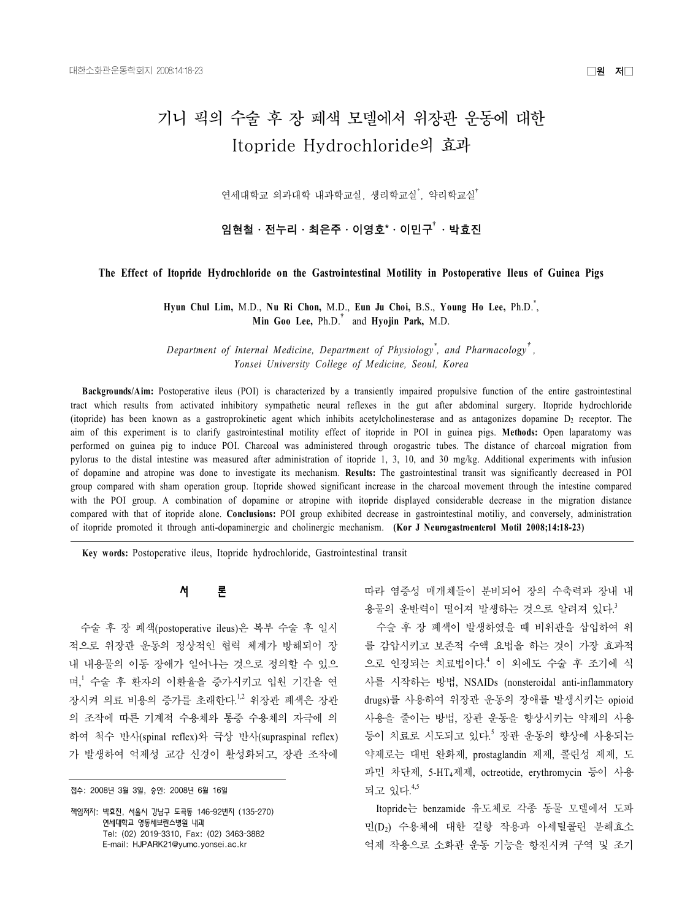# 기니 픽의 수술 후 장 폐색 모델에서 위장관 운동에 대한 Itopride Hydrochloride의 효과

연세대학교 의과대학 내과학교실, 생리학교실<sup>\*</sup>, 약리학교실<sup>\*</sup>

임현철ㆍ전누리ㆍ최은주ㆍ이영호\*ㆍ이민구 $^{\dagger}$ ㆍ박효진

## **The Effect of Itopride Hydrochloride on the Gastrointestinal Motility in Postoperative Ileus of Guinea Pigs**

**Hyun Chul Lim,** M.D., **Nu Ri Chon,** M.D., **Eun Ju Choi,** B.S., **Young Ho Lee,** Ph.D.\* , **Min Goo Lee,** Ph.D.† and **Hyojin Park,** M.D.

*Department of Internal Medicine, Department of Physiology\* , and Pharmacology*† *, Yonsei University College of Medicine, Seoul, Korea*

**Backgrounds/Aim:** Postoperative ileus (POI) is characterized by a transiently impaired propulsive function of the entire gastrointestinal tract which results from activated inhibitory sympathetic neural reflexes in the gut after abdominal surgery. Itopride hydrochloride (itopride) has been known as a gastroprokinetic agent which inhibits acetylcholinesterase and as antagonizes dopamine  $D_2$  receptor. The aim of this experiment is to clarify gastrointestinal motility effect of itopride in POI in guinea pigs. **Methods:** Open laparatomy was performed on guinea pig to induce POI. Charcoal was administered through orogastric tubes. The distance of charcoal migration from pylorus to the distal intestine was measured after administration of itopride 1, 3, 10, and 30 mg/kg. Additional experiments with infusion of dopamine and atropine was done to investigate its mechanism. **Results:** The gastrointestinal transit was significantly decreased in POI group compared with sham operation group. Itopride showed significant increase in the charcoal movement through the intestine compared with the POI group. A combination of dopamine or atropine with itopride displayed considerable decrease in the migration distance compared with that of itopride alone. **Conclusions:** POI group exhibited decrease in gastrointestinal motiliy, and conversely, administration of itopride promoted it through anti-dopaminergic and cholinergic mechanism. **(Kor J Neurogastroenterol Motil 2008;14:18-23)**

**Key words:** Postoperative ileus, Itopride hydrochloride, Gastrointestinal transit

## 서 론

수술 후 장 폐색(postoperative ileus)은 복부 수술 후 일시 적으로 위장관 운동의 정상적인 협력 체계가 방해되어 장 내 내용물의 이동 장애가 일어나는 것으로 정의할 수 있으 며, <sup>1</sup> 수술 후 환자의 이환율을 증가시키고 입원 기간을 연 장시켜 의료 비용의 증가를 초래한다.<sup>1,2</sup> 위장관 폐색은 장관 의 조작에 따른 기계적 수용체와 통증 수용체의 자극에 의 하여 척수 반사(spinal reflex)와 극상 반사(supraspinal reflex) 가 발생하여 억제성 교감 신경이 활성화되고, 장관 조작에

접수: 2008년 3월 3일, 승인: 2008년 6월 16일

책임저자: 박효진, 서울시 강남구 도곡동 146-92번지 (135-270) 연세대학교 영동세브란스병원 내과 Tel: (02) 2019-3310, Fax: (02) 3463-3882 E-mail: HJPARK21@vumc.vonsei.ac.kr

따라 염증성 매개체들이 분비되어 장의 수축력과 장내 내 용물의 운반력이 떨어져 발생하는 것으로 알려져 있다.<sup>3</sup>

수술 후 장 폐색이 발생하였을 때 비위관을 삽입하여 위 를 감압시키고 보존적 수액 요법을 하는 것이 가장 효과적 으로 인정되는 치료법이다. <sup>4</sup> 이 외에도 수술 후 조기에 식 사를 시작하는 방법, NSAIDs (nonsteroidal anti-inflammatory drugs)를 사용하여 위장관 운동의 장애를 발생시키는 opioid 사용을 줄이는 방법, 장관 운동을 향상시키는 약제의 사용 등이 치료로 시도되고 있다.<sup>5</sup> 장관 운동의 향상에 사용되는 약제로는 대변 완화제, prostaglandin 제제, 콜린성 제제, 도 파민 차단제, 5-HT4제제, octreotide, erythromycin 등이 사용 되고 있다.<sup>4,5</sup>

Itopride는 benzamide 유도체로 각종 동물 모델에서 도파 민(D2) 수용체에 대한 길항 작용과 아세틸콜린 분해효소 억제 작용으로 소화관 운동 기능을 항진시켜 구역 및 조기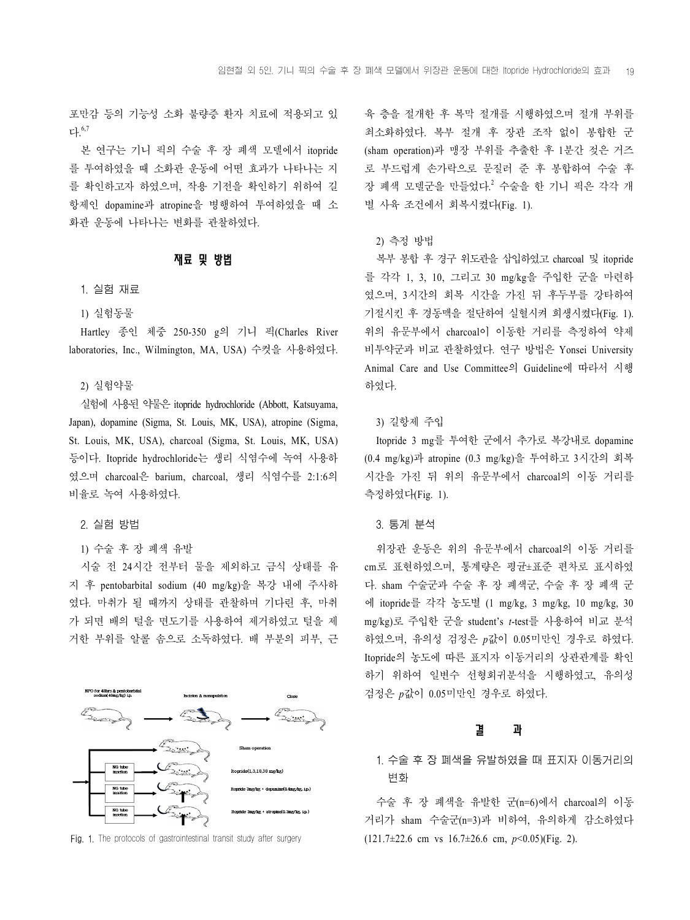포만감 등의 기능성 소화 불량증 환자 치료에 적용되고 있 다. 6,7

본 연구는 기니 픽의 수술 후 장 폐색 모델에서 itopride 를 투여하였을 때 소화관 운동에 어떤 효과가 나타나는 지 를 확인하고자 하였으며, 작용 기전을 확인하기 위하여 길 항제인 dopamine과 atropine을 병행하여 투여하였을 때 소 화관 운동에 나타나는 변화를 관찰하였다.

#### 재료 및 방법

## 1. 실험 재료

1) 실험동물

Hartley 종인 체중 250-350 g의 기니 픽(Charles River laboratories, Inc., Wilmington, MA, USA) 수컷을 사용하였다.

## 2) 실험약물

실험에 사용된 약물은 itopride hydrochloride (Abbott, Katsuyama, Japan), dopamine (Sigma, St. Louis, MK, USA), atropine (Sigma, St. Louis, MK, USA), charcoal (Sigma, St. Louis, MK, USA) 등이다. Itopride hydrochloride는 생리 식염수에 녹여 사용하 였으며 charcoal은 barium, charcoal, 생리 식염수를 2:1:6의 비율로 녹여 사용하였다.

## 2. 실험 방법

1) 수술 후 장 폐색 유발

시술 전 24시간 전부터 물을 제외하고 금식 상태를 유 지 후 pentobarbital sodium (40 mg/kg)을 복강 내에 주사하 였다. 마취가 될 때까지 상태를 관찰하며 기다린 후, 마취 가 되면 배의 털을 면도기를 사용하여 제거하였고 털을 제 거한 부위를 알콜 솜으로 소독하였다. 배 부분의 피부, 근



Fig. 1. The protocols of gastrointestinal transit study after surgery

육 층을 절개한 후 복막 절개를 시행하였으며 절개 부위를 최소화하였다. 복부 절개 후 장관 조작 없이 봉합한 군 (sham operation)과 맹장 부위를 추출한 후 1분간 젖은 거즈 로 부드럽게 손가락으로 문질러 준 후 봉합하여 수술 후 장 폐색 모델군을 만들었다. <sup>2</sup> 수술을 한 기니 픽은 각각 개 별 사육 조건에서 회복시켰다(Fig. 1).

## 2) 측정 방법

복부 봉합 후 경구 위도관을 삽입하였고 charcoal 및 itopride 를 각각 1, 3, 10, 그리고 30 mg/kg을 주입한 군을 마련하 였으며, 3시간의 회복 시간을 가진 뒤 후두부를 강타하여 기절시킨 후 경동맥을 절단하여 실혈시켜 희생시켰다(Fig. 1). 위의 유문부에서 charcoal이 이동한 거리를 측정하여 약제 비투약군과 비교 관찰하였다. 연구 방법은 Yonsei University Animal Care and Use Committee의 Guideline에 따라서 시행 하였다.

## 3) 길항제 주입

Itopride 3 mg를 투여한 군에서 추가로 복강내로 dopamine (0.4 mg/kg)과 atropine (0.3 mg/kg)을 투여하고 3시간의 회복 시간을 가진 뒤 위의 유문부에서 charcoal의 이동 거리를 측정하였다(Fig. 1).

#### 3. 통계 분석

위장관 운동은 위의 유문부에서 charcoal의 이동 거리를 cm로 표현하였으며, 통계량은 평균±표준 편차로 표시하였 다. sham 수술군과 수술 후 장 폐색군, 수술 후 장 폐색 군 에 itopride를 각각 농도별 (1 mg/kg, 3 mg/kg, 10 mg/kg, 30 mg/kg)로 주입한 군을 student's *t*-test를 사용하여 비교 분석 하였으며, 유의성 검정은 *p*값이 0.05미만인 경우로 하였다. Itopride의 농도에 따른 표지자 이동거리의 상관관계를 확인 하기 위하여 일변수 선형회귀분석을 시행하였고, 유의성 검정은 *p*값이 0.05미만인 경우로 하였다.

# 결 과

# 1. 수술 후 장 폐색을 유발하였을 때 표지자 이동거리의 변화

수술 후 장 폐색을 유발한 군(n=6)에서 charcoal의 이동 거리가 sham 수술군(n=3)과 비하여, 유의하게 감소하였다 (121.7±22.6 cm vs 16.7±26.6 cm, *p*<0.05)(Fig. 2).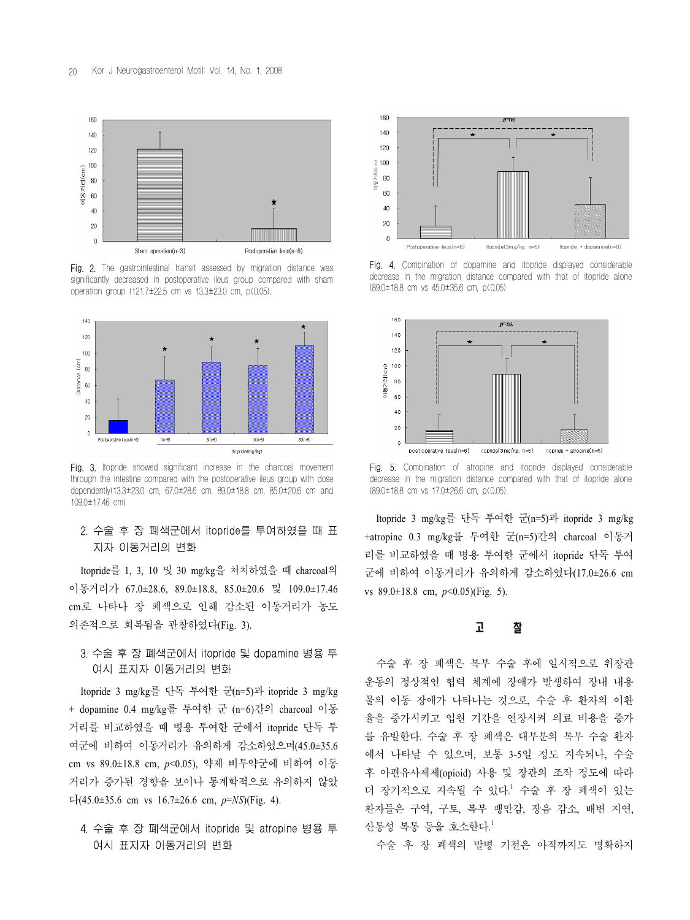

Fig. 2. The gastrointestinal transit assessed by migration distance was significantly decreased in postoperative ileus group compared with sham operation group (121.7±22.5 cm vs 13.3±23.0 cm, p<0.05).



Fig. 3. Itopride showed significant increase in the charcoal movement through the intestine compared with the postoperative ileus group with dose dependently(13.3±23.0 cm, 67.0±28.6 cm, 89.0±18.8 cm, 85.0±20.6 cm and 109.0±17.46 cm)

# 2. 수술 후 장 폐색군에서 itopride를 투여하였을 때 표 지자 이동거리의 변화

Itopride를 1, 3, 10 및 30 mg/kg을 처치하였을 때 charcoal의 이동거리가 67.0±28.6, 89.0±18.8, 85.0±20.6 및 109.0±17.46 cm로 나타나 장 폐색으로 인해 감소된 이동거리가 농도 의존적으로 회복됨을 관찰하였다(Fig. 3).

# 3. 수술 후 장 폐색군에서 itopride 및 dopamine 병용 투 여시 표지자 이동거리의 변화

Itopride 3 mg/kg를 단독 투여한 군(n=5)과 itopride 3 mg/kg + dopamine 0.4 mg/kg를 투여한 군 (n=6)간의 charcoal 이동 거리를 비교하였을 때 병용 투여한 군에서 itopride 단독 투 여군에 비하여 이동거리가 유의하게 감소하였으며(45.0±35.6 cm vs 89.0±18.8 cm, *p*<0.05), 약제 비투약군에 비하여 이동 거리가 증가된 경향을 보이나 통계학적으로 유의하지 않았 다(45.0±35.6 cm vs 16.7±26.6 cm, *p*=*NS*)(Fig. 4).

# 4. 수술 후 장 폐색군에서 itopride 및 atropine 병용 투 여시 표지자 이동거리의 변화



Fig. 4. Combination of dopamine and itopride displayed considerable decrease in the migration distance compared with that of itopride alone (89.0±18.8 cm vs 45.0±35.6 cm, p<0.05)



Fig. 5. Combination of atropine and itopride displayed considerable decrease in the migration distance compared with that of itopride alone (89.0±18.8 cm vs 17.0±26.6 cm, p<0.05).

Itopride 3 mg/kg를 단독 투여한 군(n=5)과 itopride 3 mg/kg +atropine 0.3 mg/kg를 투여한 군(n=5)간의 charcoal 이동거 리를 비교하였을 때 병용 투여한 군에서 itopride 단독 투여 군에 비하여 이동거리가 유의하게 감소하였다(17.0±26.6 cm vs 89.0±18.8 cm, *p*<0.05)(Fig. 5).

# 고 찰

수술 후 장 폐색은 복부 수술 후에 일시적으로 위장관 운동의 정상적인 협력 체계에 장애가 발생하여 장내 내용 물의 이동 장애가 나타나는 것으로, 수술 후 환자의 이환 율을 증가시키고 입원 기간을 연장시켜 의료 비용을 증가 를 유발한다. 수술 후 장 폐색은 대부분의 복부 수술 환자 에서 나타날 수 있으며, 보통 3-5일 정도 지속되나, 수술 후 아편유사제제(opioid) 사용 및 장관의 조작 정도에 따라 더 장기적으로 지속될 수 있다. <sup>1</sup> 수술 후 장 폐색이 있는 환자들은 구역, 구토, 복부 팽만감, 장음 감소, 배변 지연, 산통성 복통 등을 호소한다. $^{\mathrm{l}}$ 

수술 후 장 폐색의 발병 기전은 아직까지도 명확하지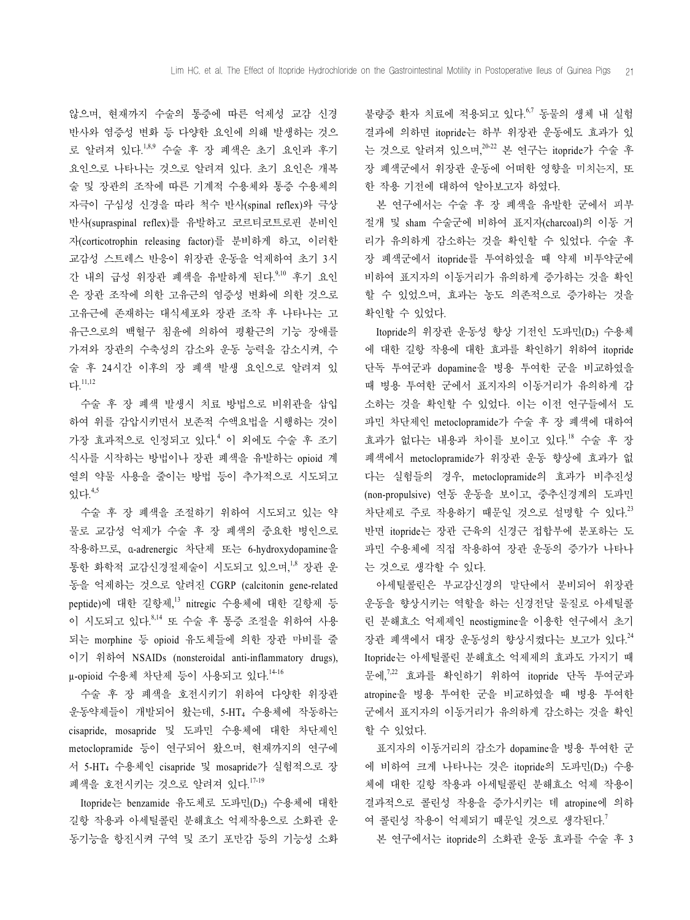않으며, 현재까지 수술의 통증에 따른 억제성 교감 신경 반사와 염증성 변화 등 다양한 요인에 의해 발생하는 것으 로 알려져 있다. 1,8,9 수술 후 장 폐색은 초기 요인과 후기 요인으로 나타나는 것으로 알려져 있다. 초기 요인은 개복 술 및 장관의 조작에 따른 기계적 수용체와 통증 수용체의 자극이 구심성 신경을 따라 척수 반사(spinal reflex)와 극상 반사(supraspinal reflex)를 유발하고 코르티코트로핀 분비인 자(corticotrophin releasing factor)를 분비하게 하고, 이러한 교감성 스트레스 반응이 위장관 운동을 억제하여 초기 3시 간 내의 급성 위장관 폐색을 유발하게 된다.<sup>9,10</sup> 후기 요인 은 장관 조작에 의한 고유근의 염증성 변화에 의한 것으로 고유근에 존재하는 대식세포와 장관 조작 후 나타나는 고 유근으로의 백혈구 침윤에 의하여 평활근의 기능 장애를 가져와 장관의 수축성의 감소와 운동 능력을 감소시켜, 수 술 후 24시간 이후의 장 폐색 발생 요인으로 알려져 있 다. 11,12

수술 후 장 폐색 발생시 치료 방법으로 비위관을 삽입 하여 위를 감압시키면서 보존적 수액요법을 시행하는 것이 가장 효과적으로 인정되고 있다. <sup>4</sup> 이 외에도 수술 후 조기 식사를 시작하는 방법이나 장관 폐색을 유발하는 opioid 계 열의 약물 사용을 줄이는 방법 등이 추가적으로 시도되고 있다. 4,5

수술 후 장 폐색을 조절하기 위하여 시도되고 있는 약 물로 교감성 억제가 수술 후 장 폐색의 중요한 병인으로 작용하므로, α-adrenergic 차단제 또는 6-hydroxydopamine을 통한 화학적 교감신경절제술이 시도되고 있으며, 1,8 장관 운 동을 억제하는 것으로 알려진 CGRP (calcitonin gene-related peptide)에 대한 길항제, 13 nitregic 수용체에 대한 길항제 등 이 시도되고 있다.<sup>8,14</sup> 또 수술 후 통증 조절을 위하여 사용 되는 morphine 등 opioid 유도체들에 의한 장관 마비를 줄 이기 위하여 NSAIDs (nonsteroidal anti-inflammatory drugs), μ-opioid 수용체 차단제 등이 사용되고 있다.<sup>14-16</sup>

수술 후 장 폐색을 호전시키기 위하여 다양한 위장관 운동약제들이 개발되어 왔는데, 5-HT4 수용체에 작동하는 cisapride, mosapride 및 도파민 수용체에 대한 차단제인 metoclopramide 등이 연구되어 왔으며, 현재까지의 연구에 서 5-HT4 수용체인 cisapride 및 mosapride가 실험적으로 장 폐색을 호전시키는 것으로 알려져 있다. 17-19

Itopride는 benzamide 유도체로 도파민(D2) 수용체에 대한 길항 작용과 아세틸콜린 분해효소 억제작용으로 소화관 운 동기능을 항진시켜 구역 및 조기 포만감 등의 기능성 소화

불량증 환자 치료에 적용되고 있다.<sup>6,7</sup> 동물의 생체 내 실험 결과에 의하면 itopride는 하부 위장관 운동에도 효과가 있 는 것으로 알려져 있으며, $^{20\text{-}22}$  본 연구는 itopride가 수술 후 장 폐색군에서 위장관 운동에 어떠한 영향을 미치는지, 또 한 작용 기전에 대하여 알아보고자 하였다.

본 연구에서는 수술 후 장 폐색을 유발한 군에서 피부 절개 및 sham 수술군에 비하여 표지자(charcoal)의 이동 거 리가 유의하게 감소하는 것을 확인할 수 있었다. 수술 후 장 폐색군에서 itopride를 투여하였을 때 약제 비투약군에 비하여 표지자의 이동거리가 유의하게 증가하는 것을 확인 할 수 있었으며, 효과는 농도 의존적으로 증가하는 것을 확인할 수 있었다.

Itopride의 위장관 운동성 향상 기전인 도파민(D2) 수용체 에 대한 길항 작용에 대한 효과를 확인하기 위하여 itopride 단독 투여군과 dopamine을 병용 투여한 군을 비교하였을 때 병용 투여한 군에서 표지자의 이동거리가 유의하게 감 소하는 것을 확인할 수 있었다. 이는 이전 연구들에서 도 파민 차단제인 metoclopramide가 수술 후 장 폐색에 대하여 효과가 없다는 내용과 차이를 보이고 있다. <sup>18</sup> 수술 후 장 폐색에서 metoclopramide가 위장관 운동 향상에 효과가 없 다는 실험들의 경우, metoclopramide의 효과가 비추진성 (non-propulsive) 연동 운동을 보이고, 중추신경계의 도파민 차단제로 주로 작용하기 때문일 것으로 설명할 수 있다.<sup>23</sup> 반면 itopride는 장관 근육의 신경근 접합부에 분포하는 도 파민 수용체에 직접 작용하여 장관 운동의 증가가 나타나 는 것으로 생각할 수 있다.

아세틸콜린은 부교감신경의 말단에서 분비되어 위장관 운동을 향상시키는 역할을 하는 신경전달 물질로 아세틸콜 린 분해효소 억제제인 neostigmine을 이용한 연구에서 초기 장관 폐색에서 대장 운동성의 향상시켰다는 보고가 있다. 24 Itopride는 아세틸콜린 분해효소 억제제의 효과도 가지기 때 문에,<sup>7,22</sup> 효과를 확인하기 위하여 itopride 단독 투여군과 atropine을 병용 투여한 군을 비교하였을 때 병용 투여한 군에서 표지자의 이동거리가 유의하게 감소하는 것을 확인 할 수 있었다.

표지자의 이동거리의 감소가 dopamine을 병용 투여한 군 에 비하여 크게 나타나는 것은 itopride의 도파민(D2) 수용 체에 대한 길항 작용과 아세틸콜린 분해효소 억제 작용이 결과적으로 콜린성 작용을 증가시키는 데 atropine에 의하 여 콜린성 작용이 억제되기 때문일 것으로 생각된다. $^7$ 

본 연구에서는 itopride의 소화관 운동 효과를 수술 후 3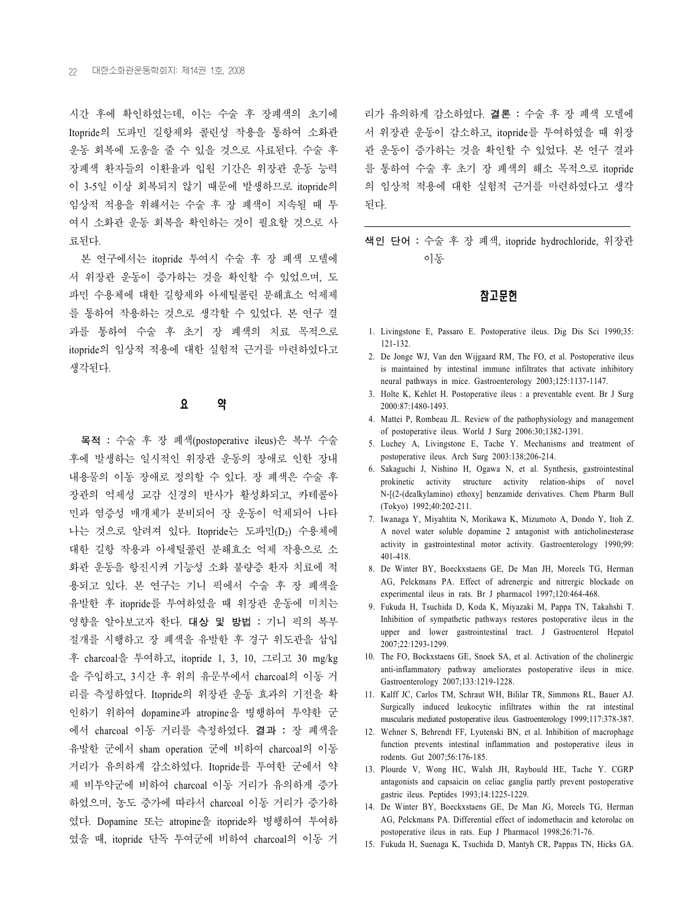시간 후에 확인하였는데, 이는 수술 후 장폐색의 초기에 Itopride의 도파민 길항제와 콜린성 작용을 통하여 소화관 운동 회복에 도움을 줄 수 있을 것으로 사료된다. 수술 후 장폐색 환자들의 이환율과 입원 기간은 위장관 운동 능력 이 3-5일 이상 회복되지 않기 때문에 발생하므로 itopride의 임상적 적용을 위해서는 수술 후 장 폐색이 지속될 때 투 여시 소화관 운동 회복을 확인하는 것이 필요할 것으로 사 료된다.

본 연구에서는 itopride 투여시 수술 후 장 폐색 모델에 서 위장관 운동이 증가하는 것을 확인할 수 있었으며, 도 파민 수용체에 대한 길항제와 아세틸콜린 분해효소 억제제 를 통하여 작용하는 것으로 생각할 수 있었다. 본 연구 결 과를 통하여 수술 후 초기 장 폐색의 치료 목적으로 itopride의 임상적 적용에 대한 실험적 근거를 마련하였다고 생각된다.

# 요 약

목적 : 수술 후 장 폐색(postoperative ileus)은 복부 수술 후에 발생하는 일시적인 위장관 운동의 장애로 인한 장내 내용물의 이동 장애로 정의할 수 있다. 장 폐색은 수술 후 장관의 억제성 교감 신경의 반사가 활성화되고, 카테콜아 민과 염증성 매개체가 분비되어 장 운동이 억제되어 나타 나는 것으로 알려져 있다. Itopride는 도파민(D2) 수용체에 대한 길항 작용과 아세틸콜린 분해효소 억제 작용으로 소 화관 운동을 항진시켜 기능성 소화 불량증 환자 치료에 적 용되고 있다. 본 연구는 기니 픽에서 수술 후 장 폐색을 유발한 후 itopride를 투여하였을 때 위장관 운동에 미치는 영향을 알아보고자 한다. 대상 및 방법 : 기니 픽의 복부 절개를 시행하고 장 폐색을 유발한 후 경구 위도관을 삽입 후 charcoal을 투여하고, itopride 1, 3, 10, 그리고 30 mg/kg 을 주입하고, 3시간 후 위의 유문부에서 charcoal의 이동 거 리를 측정하였다. Itopride의 위장관 운동 효과의 기전을 확 인하기 위하여 dopamine과 atropine을 병행하여 투약한 군 에서 charcoal 이동 거리를 측정하였다. 결과 : 장 폐색을 유발한 군에서 sham operation 군에 비하여 charcoal의 이동 거리가 유의하게 감소하였다. Itopride를 투여한 군에서 약 제 비투약군에 비하여 charcoal 이동 거리가 유의하게 증가 하였으며, 농도 증가에 따라서 charcoal 이동 거리가 증가하 였다. Dopamine 또는 atropine을 itopride와 병행하여 투여하 였을 때, itopride 단독 투여군에 비하여 charcoal의 이동 거

리가 유의하게 감소하였다. 결론 : 수술 후 장 폐색 모델에 서 위장관 운동이 감소하고, itopride를 투여하였을 때 위장 관 운동이 증가하는 것을 확인할 수 있었다. 본 연구 결과 를 통하여 수술 후 초기 장 폐색의 해소 목적으로 itopride 의 임상적 적용에 대한 실험적 근거를 마련하였다고 생각 된다.

색인 단어 : 수술 후 장 폐색, itopride hydrochloride, 위장관 이동

## 참고문헌

- 1. Livingstone E, Passaro E. Postoperative ileus. Dig Dis Sci 1990;35: 121-132.
- 2. De Jonge WJ, Van den Wijgaard RM, The FO, et al. Postoperative ileus is maintained by intestinal immune infiltrates that activate inhibitory neural pathways in mice. Gastroenterology 2003;125:1137-1147.
- 3. Holte K, Kehlet H. Postoperative ileus : a preventable event. Br J Surg 2000:87:1480-1493.
- 4. Mattei P, Rombeau JL. Review of the pathophysiology and management of postoperative ileus. World J Surg 2006:30;1382-1391.
- 5. Luchey A, Livingstone E, Tache Y. Mechanisms and treatment of postoperative ileus. Arch Surg 2003:138;206-214.
- 6. Sakaguchi J, Nishino H, Ogawa N, et al. Synthesis, gastrointestinal prokinetic activity structure activity relation-ships of novel N-[(2-(dealkylamino) ethoxy] benzamide derivatives. Chem Pharm Bull (Tokyo) 1992;40:202-211.
- 7. Iwanaga Y, Miyahtita N, Morikawa K, Mizumoto A, Dondo Y, Itoh Z. A novel water soluble dopamine 2 antagonist with anticholinesterase activity in gastrointestinal motor activity. Gastroenterology 1990;99: 401-418.
- 8. De Winter BY, Boeckxstaens GE, De Man JH, Moreels TG, Herman AG, Pelckmans PA. Effect of adrenergic and nitrergic blockade on experimental ileus in rats. Br J pharmacol 1997;120:464-468.
- 9. Fukuda H, Tsuchida D, Koda K, Miyazaki M, Pappa TN, Takahshi T. Inhibition of sympathetic pathways restores postoperative ileus in the upper and lower gastrointestinal tract. J Gastroenterol Hepatol 2007;22:1293-1299.
- 10. The FO, Bockxstaens GE, Snoek SA, et al. Activation of the cholinergic anti-inflammatory pathway ameliorates postoperative ileus in mice. Gastroenterology 2007;133:1219-1228.
- 11. Kalff JC, Carlos TM, Schraut WH, Bililar TR, Simmons RL, Bauer AJ. Surgically induced leukocytic infiltrates within the rat intestinal muscularis mediated postoperative ileus. Gastroenterology 1999;117:378-387.
- 12. Wehner S, Behrendt FF, Lyutenski BN, et al. Inhibition of macrophage function prevents intestinal inflammation and postoperative ileus in rodents. Gut 2007;56:176-185.
- 13. Plourde V, Wong HC, Walsh JH, Raybould HE, Tache Y. CGRP antagonists and capsaicin on celiac ganglia partly prevent postoperative gastric ileus. Peptides 1993;14:1225-1229.
- 14. De Winter BY, Boeckxstaens GE, De Man JG, Moreels TG, Herman AG, Pelckmans PA. Differential effect of indomethacin and ketorolac on postoperative ileus in rats. Eup J Pharmacol 1998;26:71-76.
- 15. Fukuda H, Suenaga K, Tsuchida D, Mantyh CR, Pappas TN, Hicks GA.